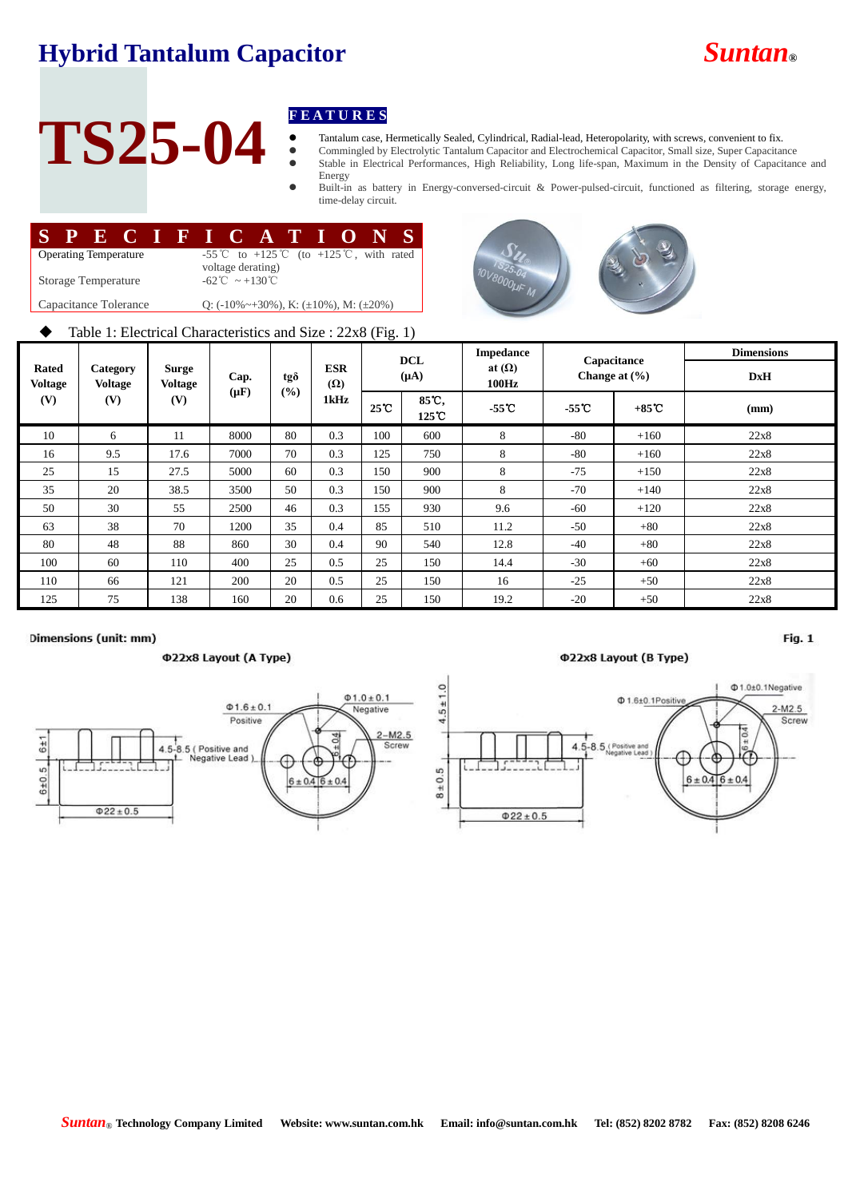## **Hybrid Tantalum Capacitor** *Suntan***®**



# TS25-04 **FEATURES**

Tantalum case, Hermetically Sealed, Cylindrical, Radial-lead, Heteropolarity, with screws, convenient to fix.

 Commingled by Electrolytic Tantalum Capacitor and Electrochemical Capacitor, Small size, Super Capacitance Stable in Electrical Performances, High Reliability, Long life-span, Maximum in the Density of Capacitance and

Energy Built-in as battery in Energy-conversed-circuit & Power-pulsed-circuit, functioned as filtering, storage energy, time-delay circuit.

|                                                                        | SPECIFICATIONS                                                 |  |  |  |  |  |  |  |  |
|------------------------------------------------------------------------|----------------------------------------------------------------|--|--|--|--|--|--|--|--|
| <b>Operating Temperature</b>                                           | -55 °C to +125 °C (to +125 °C, with rated<br>voltage derating) |  |  |  |  |  |  |  |  |
| $-62^{\circ}\text{C} \sim +130^{\circ}\text{C}$<br>Storage Temperature |                                                                |  |  |  |  |  |  |  |  |
| Capacitance Tolerance                                                  | Q: $(-10\% \sim +30\%)$ , K: $(\pm 10\%)$ , M: $(\pm 20\%)$    |  |  |  |  |  |  |  |  |
|                                                                        |                                                                |  |  |  |  |  |  |  |  |



## $\blacklozenge$  Table 1: Electrical Characteristics and Size : 22x8 (Fig. 1)

| <b>Rated</b><br>Voltage<br>(V)<br>(V) |                            | Surge<br><b>Voltage</b><br>(V) | Cap.<br>$(\mu F)$ | tgð<br>(%) | <b>ESR</b><br>$(\Omega)$<br>1kHz | <b>DCL</b><br>$(\mu A)$ |                | <b>Impedance</b>       | Capacitance     |                   | <b>Dimensions</b> |
|---------------------------------------|----------------------------|--------------------------------|-------------------|------------|----------------------------------|-------------------------|----------------|------------------------|-----------------|-------------------|-------------------|
|                                       | Category<br><b>Voltage</b> |                                |                   |            |                                  |                         |                | at $(\Omega)$<br>100Hz |                 | Change at $(\% )$ | <b>DxH</b>        |
|                                       |                            |                                |                   |            |                                  | $25^{\circ}$ C          | 85°C,<br>125°C | $-55^{\circ}$ C        | $-55^{\circ}$ C | $+85^{\circ}$ C   | (mm)              |
| 10                                    | 6                          | 11                             | 8000              | 80         | 0.3                              | 100                     | 600            | 8                      | $-80$           | $+160$            | 22x8              |
| 16                                    | 9.5                        | 17.6                           | 7000              | 70         | 0.3                              | 125                     | 750            | 8                      | $-80$           | $+160$            | 22x8              |
| 25                                    | 15                         | 27.5                           | 5000              | 60         | 0.3                              | 150                     | 900            | 8                      | $-75$           | $+150$            | 22x8              |
| 35                                    | 20                         | 38.5                           | 3500              | 50         | 0.3                              | 150                     | 900            | 8                      | $-70$           | $+140$            | 22x8              |
| 50                                    | 30                         | 55                             | 2500              | 46         | 0.3                              | 155                     | 930            | 9.6                    | $-60$           | $+120$            | 22x8              |
| 63                                    | 38                         | 70                             | 1200              | 35         | 0.4                              | 85                      | 510            | 11.2                   | $-50$           | $+80$             | 22x8              |
| 80                                    | 48                         | 88                             | 860               | 30         | 0.4                              | 90                      | 540            | 12.8                   | $-40$           | $+80$             | 22x8              |
| 100                                   | 60                         | 110                            | 400               | 25         | 0.5                              | 25                      | 150            | 14.4                   | $-30$           | $+60$             | 22x8              |
| 110                                   | 66                         | 121                            | 200               | 20         | 0.5                              | 25                      | 150            | 16                     | $-25$           | $+50$             | 22x8              |
| 125                                   | 75                         | 138                            | 160               | 20         | 0.6                              | 25                      | 150            | 19.2                   | $-20$           | $+50$             | 22x8              |

## Dimensions (unit: mm)

### Φ22x8 Layout (A Type)



### **Φ22x8 Layout (B Type)**



 $Fig. 1$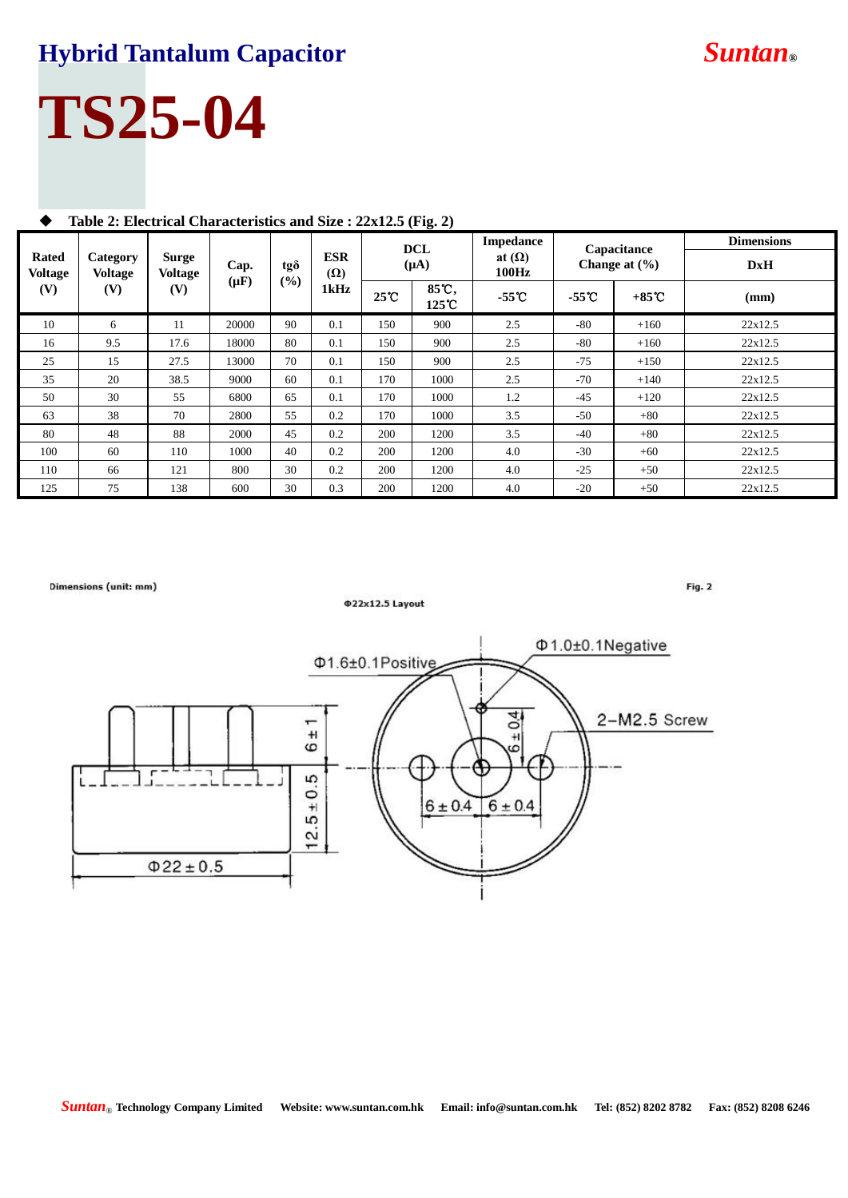## **Hybrid Tantalum Capacitor** *Suntan***®**

# **TS25-04**

| <b>Rated</b><br><b>Voltage</b><br>(V) | Category<br><b>Voltage</b><br>(V) | <b>Surge</b><br><b>Voltage</b><br>(V) | Cap.<br>$(\mu \mathbf{F})$ | tgð<br>(%) | <b>ESR</b><br>$(\Omega)$<br>1kHz | $\sim$ 0       | <b>Impedance</b><br><b>DCL</b> |                        | Capacitance<br>Change at $(\frac{6}{6})$ |                 | <b>Dimensions</b> |
|---------------------------------------|-----------------------------------|---------------------------------------|----------------------------|------------|----------------------------------|----------------|--------------------------------|------------------------|------------------------------------------|-----------------|-------------------|
|                                       |                                   |                                       |                            |            |                                  | $(\mu A)$      |                                | at $(\Omega)$<br>100Hz |                                          |                 | <b>DxH</b>        |
|                                       |                                   |                                       |                            |            |                                  | $25^{\circ}$ C | 85℃,<br>125°C                  | $-55o$                 | $-55^{\circ}$ C                          | $+85^{\circ}$ C | (mm)              |
| 10                                    | 6                                 | -11                                   | 20000                      | 90         | 0.1                              | 150            | 900                            | 2.5                    | $-80$                                    | $+160$          | 22x12.5           |
| 16                                    | 9.5                               | 17.6                                  | 18000                      | 80         | 0.1                              | 150            | 900                            | 2.5                    | $-80$                                    | $+160$          | 22x12.5           |
| 25                                    | 15                                | 27.5                                  | 13000                      | 70         | 0.1                              | 150            | 900                            | 2.5                    | $-75$                                    | $+150$          | 22x12.5           |
| 35                                    | 20                                | 38.5                                  | 9000                       | 60         | 0.1                              | 170            | 1000                           | 2.5                    | $-70$                                    | $+140$          | 22x12.5           |
| 50                                    | 30                                | 55                                    | 6800                       | 65         | 0.1                              | 170            | 1000                           | 1.2                    | $-45$                                    | $+120$          | 22x12.5           |
| 63                                    | 38                                | 70                                    | 2800                       | 55         | 0.2                              | 170            | 1000                           | 3.5                    | $-50$                                    | $+80$           | 22x12.5           |
| 80                                    | 48                                | 88                                    | 2000                       | 45         | 0.2                              | 200            | 1200                           | 3.5                    | $-40$                                    | $+80$           | 22x12.5           |
| 100                                   | 60                                | 110                                   | 1000                       | 40         | 0.2                              | 200            | 1200                           | 4.0                    | $-30$                                    | $+60$           | 22x12.5           |
| 110                                   | 66                                | 121                                   | 800                        | 30         | 0.2                              | 200            | 1200                           | 4.0                    | $-25$                                    | $+50$           | 22x12.5           |
| 125                                   | 75                                | 138                                   | 600                        | 30         | 0.3                              | 200            | 1200                           | 4.0                    | $-20$                                    | $+50$           | 22x12.5           |

## **Table 2: Electrical Characteristics and Size : 22x12.5 (Fig. 2)**



*Suntan*® **Technology Company Limited Website: www.suntan.com.hk Email: info@suntan.com.hk Tel: (852) 8202 8782 Fax: (852) 8208 6246**